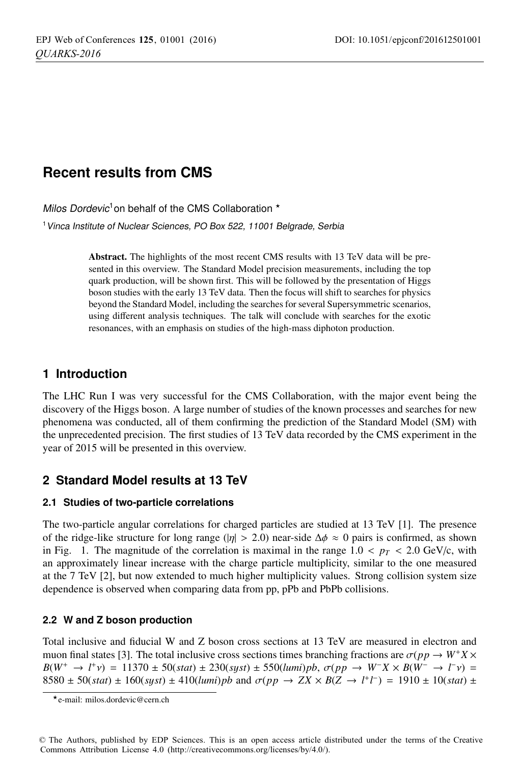# **Recent results from CMS**

Milos Dordevic<sup>1</sup> on behalf of the CMS Collaboration  $*$ 

<sup>1</sup> Vinca Institute of Nuclear Sciences, PO Box 522, 11001 Belgrade, Serbia

Abstract. The highlights of the most recent CMS results with 13 TeV data will be presented in this overview. The Standard Model precision measurements, including the top quark production, will be shown first. This will be followed by the presentation of Higgs boson studies with the early 13 TeV data. Then the focus will shift to searches for physics beyond the Standard Model, including the searches for several Supersymmetric scenarios, using different analysis techniques. The talk will conclude with searches for the exotic resonances, with an emphasis on studies of the high-mass diphoton production.

# **1 Introduction**

The LHC Run I was very successful for the CMS Collaboration, with the major event being the discovery of the Higgs boson. A large number of studies of the known processes and searches for new phenomena was conducted, all of them confirming the prediction of the Standard Model (SM) with the unprecedented precision. The first studies of 13 TeV data recorded by the CMS experiment in the year of 2015 will be presented in this overview.

# **2 Standard Model results at 13 TeV**

### **2.1 Studies of two-particle correlations**

The two-particle angular correlations for charged particles are studied at 13 TeV [1]. The presence of the ridge-like structure for long range (| $|\eta| > 2.0$ ) near-side  $\Delta \phi \approx 0$  pairs is confirmed, as shown in Fig. 1. The magnitude of the correlation is maximal in the range  $1.0 < p_T < 2.0$  GeV/c, with an approximately linear increase with the charge particle multiplicity, similar to the one measured at the 7 TeV [2], but now extended to much higher multiplicity values. Strong collision system size dependence is observed when comparing data from pp, pPb and PbPb collisions.

### **2.2 W and Z boson production**

Total inclusive and fiducial W and Z boson cross sections at 13 TeV are measured in electron and muon final states [3]. The total inclusive cross sections times branching fractions are  $\sigma(pp \to W^+X \times$ *B*(*W*<sup>+</sup> → *l*<sup>+</sup>ν) = 11370 ± 50(*stat*) ± 230(*syst*) ± 550(*lumi*)*pb*,  $\sigma(pp \to W^-X \times B(W^- \to l^-v)$  = 8580 ± 50(*stat*) ± 160(*syst*) ± 410(*lumi*)*pb* and  $\sigma(pp \to ZX \times B(Z \to l^+l^-) = 1910 \pm 10(stat) \pm 10(sstat)$ 

<sup>-</sup>e-mail: milos.dordevic@cern.ch

<sup>©</sup> The Authors, published by EDP Sciences. This is an open access article distributed under the terms of the Creative Commons Attribution License 4.0 (http://creativecommons.org/licenses/by/4.0/).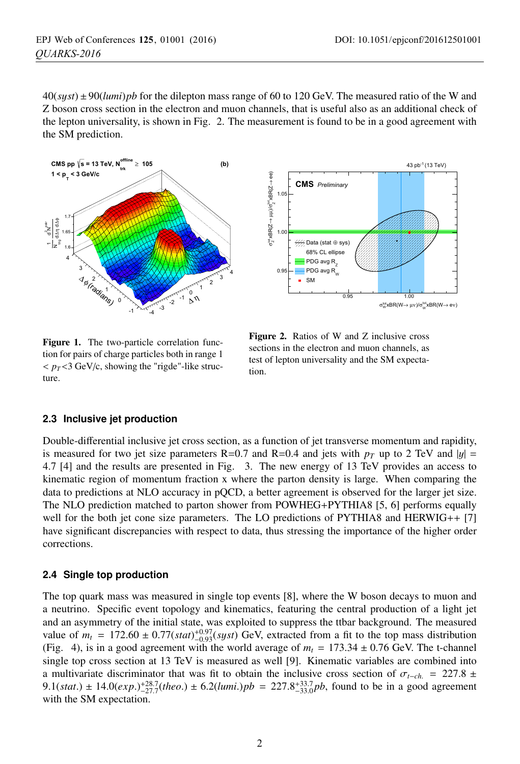$40(syst) \pm 90(lumi)pb$  for the dilepton mass range of 60 to 120 GeV. The measured ratio of the W and Z boson cross section in the electron and muon channels, that is useful also as an additional check of the lepton universality, is shown in Fig. 2. The measurement is found to be in a good agreement with the SM prediction.





Figure 1. The two-particle correlation function for pairs of charge particles both in range 1  $\langle p_T \rangle$   $\langle 3 \text{ GeV/c},$  showing the "rigde"-like structure.

Figure 2. Ratios of W and Z inclusive cross sections in the electron and muon channels, as test of lepton universality and the SM expectation.

### **2.3 Inclusive jet production**

Double-differential inclusive jet cross section, as a function of jet transverse momentum and rapidity, is measured for two jet size parameters R=0.7 and R=0.4 and jets with  $p_T$  up to 2 TeV and  $|y|$  = 4.7 [4] and the results are presented in Fig. 3. The new energy of 13 TeV provides an access to kinematic region of momentum fraction x where the parton density is large. When comparing the data to predictions at NLO accuracy in pQCD, a better agreement is observed for the larger jet size. The NLO prediction matched to parton shower from POWHEG+PYTHIA8 [5, 6] performs equally well for the both jet cone size parameters. The LO predictions of PYTHIA8 and HERWIG++ [7] have significant discrepancies with respect to data, thus stressing the importance of the higher order corrections.

### **2.4 Single top production**

The top quark mass was measured in single top events [8], where the W boson decays to muon and a neutrino. Specific event topology and kinematics, featuring the central production of a light jet and an asymmetry of the initial state, was exploited to suppress the ttbar background. The measured value of  $m_t = 172.60 \pm 0.77(stat)^{+0.97}_{-0.93}(syst)$  GeV, extracted from a fit to the top mass distribution (Fig. 4), is in a good agreement with the world average of  $m_t = 173.34 \pm 0.76$  GeV. The t-channel single top cross section at 13 TeV is measured as well [9]. Kinematic variables are combined into a multivariate discriminator that was fit to obtain the inclusive cross section of  $\sigma_{t-ch.}$  = 227.8 ± 9.1(*stat*.)  $\pm$  14.0(*exp*.)<sup> $+28.7$ </sup>(*theo*.)  $\pm$  6.2(*lumi*.)*pb* = 227.8<sup> $+33.7$ </sup><sub>23.0</sub>*pb*, found to be in a good agreement with the SM expectation.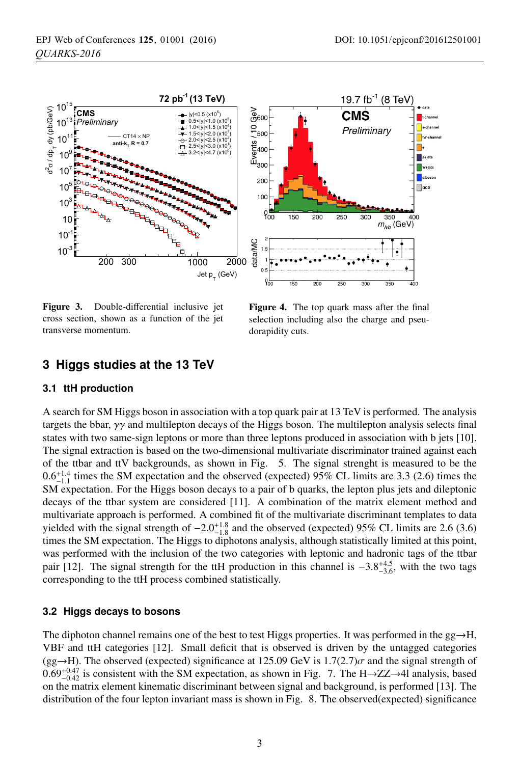

Figure 3. Double-differential inclusive jet cross section, shown as a function of the jet transverse momentum.

Figure 4. The top quark mass after the final selection including also the charge and pseudorapidity cuts.

### **3 Higgs studies at the 13 TeV**

#### **3.1 ttH production**

A search for SM Higgs boson in association with a top quark pair at 13 TeV is performed. The analysis targets the bbar,  $\gamma\gamma$  and multilepton decays of the Higgs boson. The multilepton analysis selects final states with two same-sign leptons or more than three leptons produced in association with b jets [10]. The signal extraction is based on the two-dimensional multivariate discriminator trained against each of the ttbar and ttV backgrounds, as shown in Fig. 5. The signal strenght is measured to be the  $0.6^{+1.4}_{-1.1}$  times the SM expectation and the observed (expected) 95% CL limits are 3.3 (2.6) times the SM expectation. For the Higgs boson decays to a pair of b quarks, the lepton plus jets and dileptonic decays of the ttbar system are considered [11]. A combination of the matrix element method and multivariate approach is performed. A combined fit of the multivariate discriminant templates to data yielded with the signal strength of  $-2.0^{+1.8}_{-1.8}$  and the observed (expected) 95% CL limits are 2.6 (3.6) times the SM expectation. The Higgs to diphotons analysis, although statistically limited at this point, was performed with the inclusion of the two categories with leptonic and hadronic tags of the ttbar pair [12]. The signal strength for the ttH production in this channel is  $-3.8^{+4.5}_{-3.6}$ , with the two tags corresponding to the ttH process combined statistically.

### **3.2 Higgs decays to bosons**

The diphoton channel remains one of the best to test Higgs properties. It was performed in the  $gg \rightarrow H$ , VBF and ttH categories [12]. Small deficit that is observed is driven by the untagged categories  $(gg \rightarrow H)$ . The observed (expected) significance at 125.09 GeV is 1.7(2.7) $\sigma$  and the signal strength of  $0.69_{-0.42}^{+0.47}$  is consistent with the SM expectation, as shown in Fig. 7. The H→ZZ→4l analysis, based on the matrix element kinematic discriminant between signal and background, is performed [13]. The distribution of the four lepton invariant mass is shown in Fig. 8. The observed(expected) significance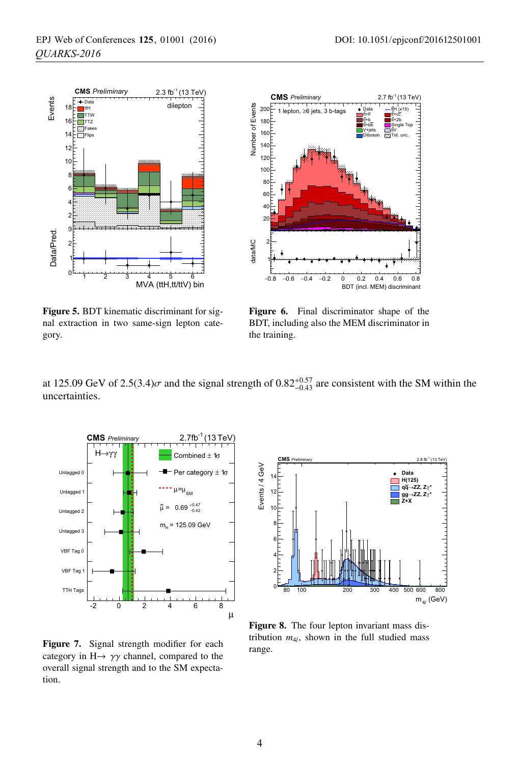

Figure 5. BDT kinematic discriminant for signal extraction in two same-sign lepton category.



Figure 6. Final discriminator shape of the BDT, including also the MEM discriminator in the training.

at 125.09 GeV of 2.5(3.4) $\sigma$  and the signal strength of 0.82<sup>+0.57</sup> are consistent with the SM within the uncertainties.



Figure 7. Signal strength modifier for each category in  $H \rightarrow \gamma \gamma$  channel, compared to the overall signal strength and to the SM expectation.



Figure 8. The four lepton invariant mass distribution  $m_{4l}$ , shown in the full studied mass range.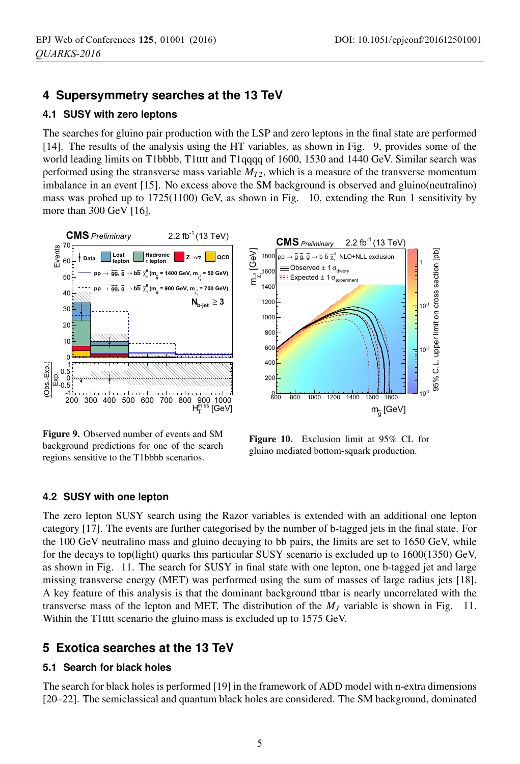## **4 Supersymmetry searches at the 13 TeV**

### **4.1 SUSY with zero leptons**

The searches for gluino pair production with the LSP and zero leptons in the final state are performed [14]. The results of the analysis using the HT variables, as shown in Fig. 9, provides some of the world leading limits on T1bbbb, T1tttt and T1qqqq of 1600, 1530 and 1440 GeV. Similar search was performed using the stransverse mass variable  $M<sub>T2</sub>$ , which is a measure of the transverse momentum imbalance in an event [15]. No excess above the SM background is observed and gluino(neutralino) mass was probed up to 1725(1100) GeV, as shown in Fig. 10, extending the Run 1 sensitivity by more than 300 GeV [16].



Figure 9. Observed number of events and SM background predictions for one of the search regions sensitive to the T1bbbb scenarios.

Figure 10. Exclusion limit at 95% CL for gluino mediated bottom-squark production.

### **4.2 SUSY with one lepton**

The zero lepton SUSY search using the Razor variables is extended with an additional one lepton category [17]. The events are further categorised by the number of b-tagged jets in the final state. For the 100 GeV neutralino mass and gluino decaying to bb pairs, the limits are set to 1650 GeV, while for the decays to top(light) quarks this particular SUSY scenario is excluded up to 1600(1350) GeV, as shown in Fig. 11. The search for SUSY in final state with one lepton, one b-tagged jet and large missing transverse energy (MET) was performed using the sum of masses of large radius jets [18]. A key feature of this analysis is that the dominant background ttbar is nearly uncorrelated with the transverse mass of the lepton and MET. The distribution of the *MJ* variable is shown in Fig. 11. Within the T1tttt scenario the gluino mass is excluded up to 1575 GeV.

### **5 Exotica searches at the 13 TeV**

### **5.1 Search for black holes**

The search for black holes is performed [19] in the framework of ADD model with n-extra dimensions [20–22]. The semiclassical and quantum black holes are considered. The SM background, dominated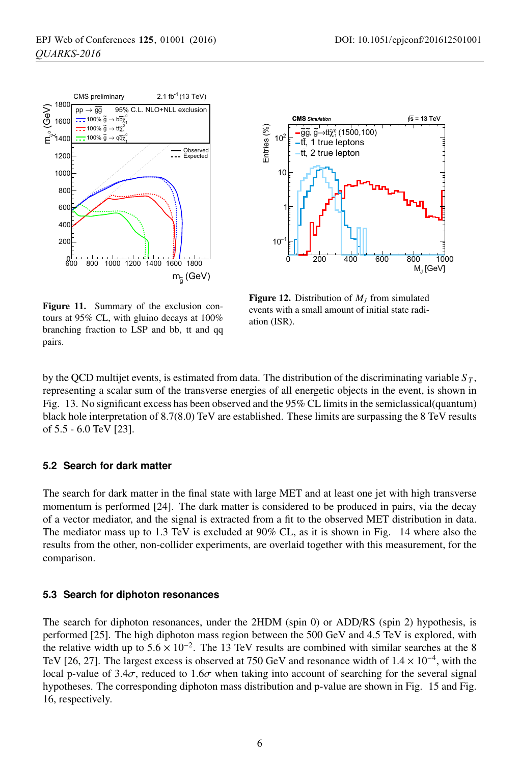



Figure 11. Summary of the exclusion contours at 95% CL, with gluino decays at 100% branching fraction to LSP and bb, tt and qq pairs.

**Figure 12.** Distribution of  $M<sub>I</sub>$  from simulated events with a small amount of initial state radiation (ISR).

by the QCD multijet events, is estimated from data. The distribution of the discriminating variable  $S_T$ , representing a scalar sum of the transverse energies of all energetic objects in the event, is shown in Fig. 13. No significant excess has been observed and the 95% CL limits in the semiclassical(quantum) black hole interpretation of 8.7(8.0) TeV are established. These limits are surpassing the 8 TeV results of 5.5 - 6.0 TeV [23].

#### **5.2 Search for dark matter**

The search for dark matter in the final state with large MET and at least one jet with high transverse momentum is performed [24]. The dark matter is considered to be produced in pairs, via the decay of a vector mediator, and the signal is extracted from a fit to the observed MET distribution in data. The mediator mass up to 1.3 TeV is excluded at 90% CL, as it is shown in Fig. 14 where also the results from the other, non-collider experiments, are overlaid together with this measurement, for the comparison.

### **5.3 Search for diphoton resonances**

The search for diphoton resonances, under the 2HDM (spin 0) or ADD/RS (spin 2) hypothesis, is performed [25]. The high diphoton mass region between the 500 GeV and 4.5 TeV is explored, with the relative width up to  $5.6 \times 10^{-2}$ . The 13 TeV results are combined with similar searches at the 8 TeV [26, 27]. The largest excess is observed at 750 GeV and resonance width of  $1.4 \times 10^{-4}$ , with the local p-value of  $3.4\sigma$ , reduced to  $1.6\sigma$  when taking into account of searching for the several signal hypotheses. The corresponding diphoton mass distribution and p-value are shown in Fig. 15 and Fig. 16, respectively.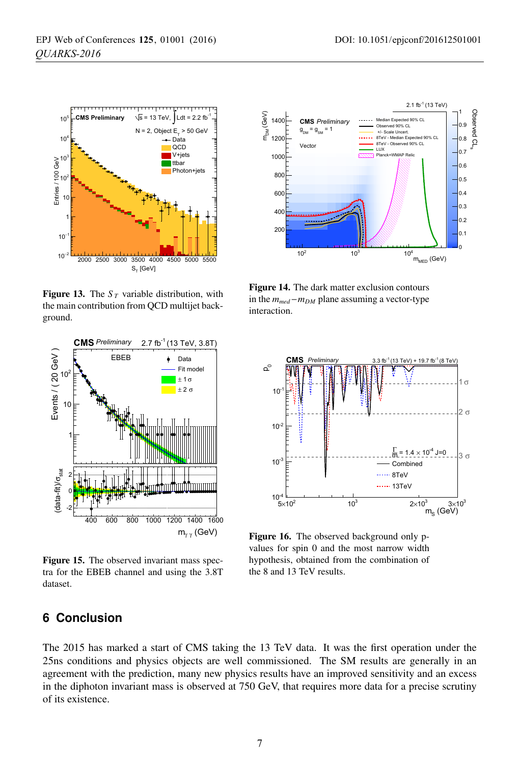

**Figure 13.** The  $S_T$  variable distribution, with the main contribution from QCD multijet background.



Figure 15. The observed invariant mass spectra for the EBEB channel and using the 3.8T dataset.



Figure 14. The dark matter exclusion contours in the  $m_{med} - m_{DM}$  plane assuming a vector-type interaction.



Figure 16. The observed background only pvalues for spin 0 and the most narrow width hypothesis, obtained from the combination of the 8 and 13 TeV results.

### **6 Conclusion**

The 2015 has marked a start of CMS taking the 13 TeV data. It was the first operation under the 25ns conditions and physics objects are well commissioned. The SM results are generally in an agreement with the prediction, many new physics results have an improved sensitivity and an excess in the diphoton invariant mass is observed at 750 GeV, that requires more data for a precise scrutiny of its existence.